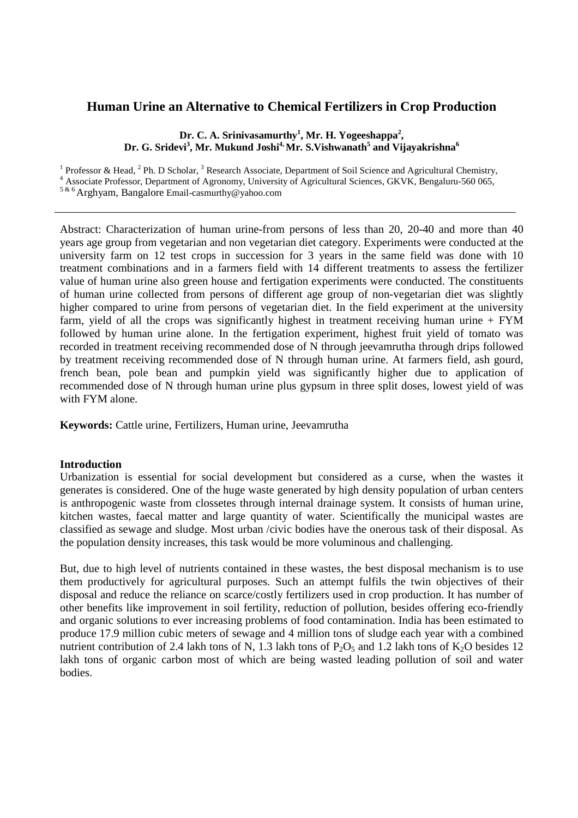# **Human Urine an Alternative to Chemical Fertilizers in Crop Production**

### **Dr. C. A. Srinivasamurthy<sup>1</sup> , Mr. H. Yogeeshappa<sup>2</sup> , Dr. G. Sridevi<sup>3</sup> , Mr. Mukund Joshi4, Mr. S.Vishwanath<sup>5</sup> and Vijayakrishna<sup>6</sup>**

<sup>1</sup> Professor & Head,  $^2$  Ph. D Scholar,  $^3$  Research Associate, Department of Soil Science and Agricultural Chemistry,

<sup>4</sup> Associate Professor, Department of Agronomy, University of Agricultural Sciences, GKVK, Bengaluru-560 065,

5 & 6 Arghyam, Bangalore Email-casmurthy@yahoo.com

Abstract: Characterization of human urine-from persons of less than 20, 20-40 and more than 40 years age group from vegetarian and non vegetarian diet category. Experiments were conducted at the university farm on 12 test crops in succession for 3 years in the same field was done with 10 treatment combinations and in a farmers field with 14 different treatments to assess the fertilizer value of human urine also green house and fertigation experiments were conducted. The constituents of human urine collected from persons of different age group of non-vegetarian diet was slightly higher compared to urine from persons of vegetarian diet. In the field experiment at the university farm, yield of all the crops was significantly highest in treatment receiving human urine  $+$  FYM followed by human urine alone. In the fertigation experiment, highest fruit yield of tomato was recorded in treatment receiving recommended dose of N through jeevamrutha through drips followed by treatment receiving recommended dose of N through human urine. At farmers field, ash gourd, french bean, pole bean and pumpkin yield was significantly higher due to application of recommended dose of N through human urine plus gypsum in three split doses, lowest yield of was with FYM alone.

**Keywords:** Cattle urine, Fertilizers, Human urine, Jeevamrutha

### **Introduction**

Urbanization is essential for social development but considered as a curse, when the wastes it generates is considered. One of the huge waste generated by high density population of urban centers is anthropogenic waste from clossetes through internal drainage system. It consists of human urine, kitchen wastes, faecal matter and large quantity of water. Scientifically the municipal wastes are classified as sewage and sludge. Most urban /civic bodies have the onerous task of their disposal. As the population density increases, this task would be more voluminous and challenging.

But, due to high level of nutrients contained in these wastes, the best disposal mechanism is to use them productively for agricultural purposes. Such an attempt fulfils the twin objectives of their disposal and reduce the reliance on scarce/costly fertilizers used in crop production. It has number of other benefits like improvement in soil fertility, reduction of pollution, besides offering eco-friendly and organic solutions to ever increasing problems of food contamination. India has been estimated to produce 17.9 million cubic meters of sewage and 4 million tons of sludge each year with a combined nutrient contribution of 2.4 lakh tons of N, 1.3 lakh tons of  $P_2O_5$  and 1.2 lakh tons of K<sub>2</sub>O besides 12 lakh tons of organic carbon most of which are being wasted leading pollution of soil and water bodies.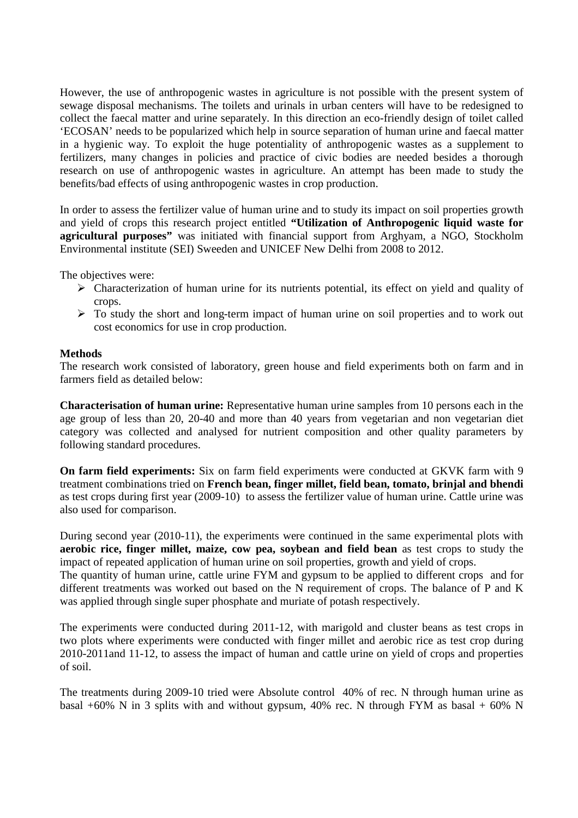However, the use of anthropogenic wastes in agriculture is not possible with the present system of sewage disposal mechanisms. The toilets and urinals in urban centers will have to be redesigned to collect the faecal matter and urine separately. In this direction an eco-friendly design of toilet called 'ECOSAN' needs to be popularized which help in source separation of human urine and faecal matter in a hygienic way. To exploit the huge potentiality of anthropogenic wastes as a supplement to fertilizers, many changes in policies and practice of civic bodies are needed besides a thorough research on use of anthropogenic wastes in agriculture. An attempt has been made to study the benefits/bad effects of using anthropogenic wastes in crop production.

In order to assess the fertilizer value of human urine and to study its impact on soil properties growth and yield of crops this research project entitled **"Utilization of Anthropogenic liquid waste for agricultural purposes"** was initiated with financial support from Arghyam, a NGO, Stockholm Environmental institute (SEI) Sweeden and UNICEF New Delhi from 2008 to 2012.

The objectives were:

- $\triangleright$  Characterization of human urine for its nutrients potential, its effect on yield and quality of crops.
- $\triangleright$  To study the short and long-term impact of human urine on soil properties and to work out cost economics for use in crop production.

### **Methods**

The research work consisted of laboratory, green house and field experiments both on farm and in farmers field as detailed below:

**Characterisation of human urine:** Representative human urine samples from 10 persons each in the age group of less than 20, 20-40 and more than 40 years from vegetarian and non vegetarian diet category was collected and analysed for nutrient composition and other quality parameters by following standard procedures.

**On farm field experiments:** Six on farm field experiments were conducted at GKVK farm with 9 treatment combinations tried on **French bean, finger millet, field bean, tomato, brinjal and bhendi** as test crops during first year (2009-10) to assess the fertilizer value of human urine. Cattle urine was also used for comparison.

During second year (2010-11), the experiments were continued in the same experimental plots with **aerobic rice, finger millet, maize, cow pea, soybean and field bean** as test crops to study the impact of repeated application of human urine on soil properties, growth and yield of crops. The quantity of human urine, cattle urine FYM and gypsum to be applied to different crops and for different treatments was worked out based on the N requirement of crops. The balance of P and K was applied through single super phosphate and muriate of potash respectively.

The experiments were conducted during 2011-12, with marigold and cluster beans as test crops in two plots where experiments were conducted with finger millet and aerobic rice as test crop during 2010-2011and 11-12, to assess the impact of human and cattle urine on yield of crops and properties of soil.

The treatments during 2009-10 tried were Absolute control 40% of rec. N through human urine as basal +60% N in 3 splits with and without gypsum, 40% rec. N through FYM as basal + 60% N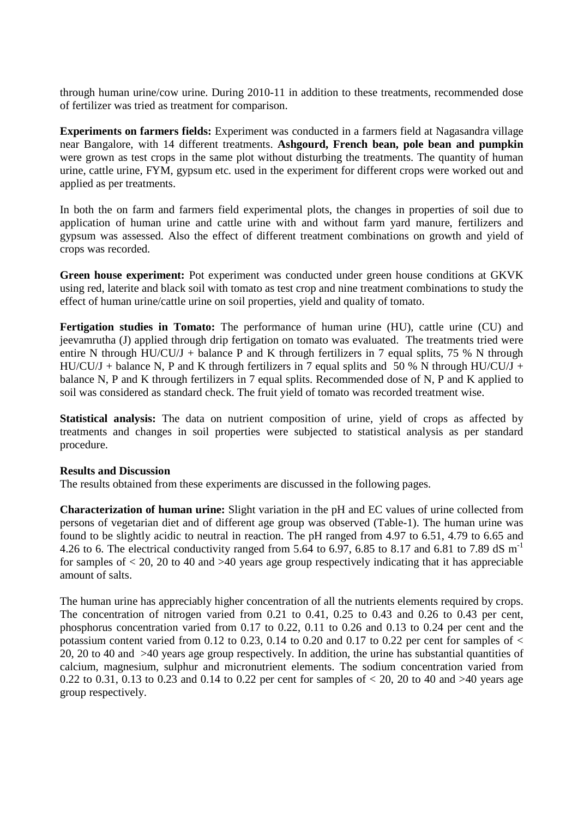through human urine/cow urine. During 2010-11 in addition to these treatments, recommended dose of fertilizer was tried as treatment for comparison.

**Experiments on farmers fields:** Experiment was conducted in a farmers field at Nagasandra village near Bangalore, with 14 different treatments. **Ashgourd, French bean, pole bean and pumpkin** were grown as test crops in the same plot without disturbing the treatments. The quantity of human urine, cattle urine, FYM, gypsum etc. used in the experiment for different crops were worked out and applied as per treatments.

In both the on farm and farmers field experimental plots, the changes in properties of soil due to application of human urine and cattle urine with and without farm yard manure, fertilizers and gypsum was assessed. Also the effect of different treatment combinations on growth and yield of crops was recorded.

**Green house experiment:** Pot experiment was conducted under green house conditions at GKVK using red, laterite and black soil with tomato as test crop and nine treatment combinations to study the effect of human urine/cattle urine on soil properties, yield and quality of tomato.

**Fertigation studies in Tomato:** The performance of human urine (HU), cattle urine (CU) and jeevamrutha (J) applied through drip fertigation on tomato was evaluated. The treatments tried were entire N through HU/CU/J + balance P and K through fertilizers in 7 equal splits, 75 % N through HU/CU/J + balance N, P and K through fertilizers in 7 equal splits and 50 % N through HU/CU/J + balance N, P and K through fertilizers in 7 equal splits. Recommended dose of N, P and K applied to soil was considered as standard check. The fruit yield of tomato was recorded treatment wise.

**Statistical analysis:** The data on nutrient composition of urine, yield of crops as affected by treatments and changes in soil properties were subjected to statistical analysis as per standard procedure.

### **Results and Discussion**

The results obtained from these experiments are discussed in the following pages.

**Characterization of human urine:** Slight variation in the pH and EC values of urine collected from persons of vegetarian diet and of different age group was observed (Table-1). The human urine was found to be slightly acidic to neutral in reaction. The pH ranged from 4.97 to 6.51, 4.79 to 6.65 and 4.26 to 6. The electrical conductivity ranged from 5.64 to 6.97, 6.85 to 8.17 and 6.81 to 7.89 dS  $m^{-1}$ for samples of  $<$  20, 20 to 40 and  $>$ 40 years age group respectively indicating that it has appreciable amount of salts.

The human urine has appreciably higher concentration of all the nutrients elements required by crops. The concentration of nitrogen varied from 0.21 to 0.41, 0.25 to 0.43 and 0.26 to 0.43 per cent, phosphorus concentration varied from 0.17 to 0.22, 0.11 to 0.26 and 0.13 to 0.24 per cent and the potassium content varied from 0.12 to 0.23, 0.14 to 0.20 and 0.17 to 0.22 per cent for samples of  $\lt$ 20, 20 to 40 and >40 years age group respectively. In addition, the urine has substantial quantities of calcium, magnesium, sulphur and micronutrient elements. The sodium concentration varied from 0.22 to 0.31, 0.13 to 0.23 and 0.14 to 0.22 per cent for samples of  $< 20$ , 20 to 40 and  $>40$  years age group respectively.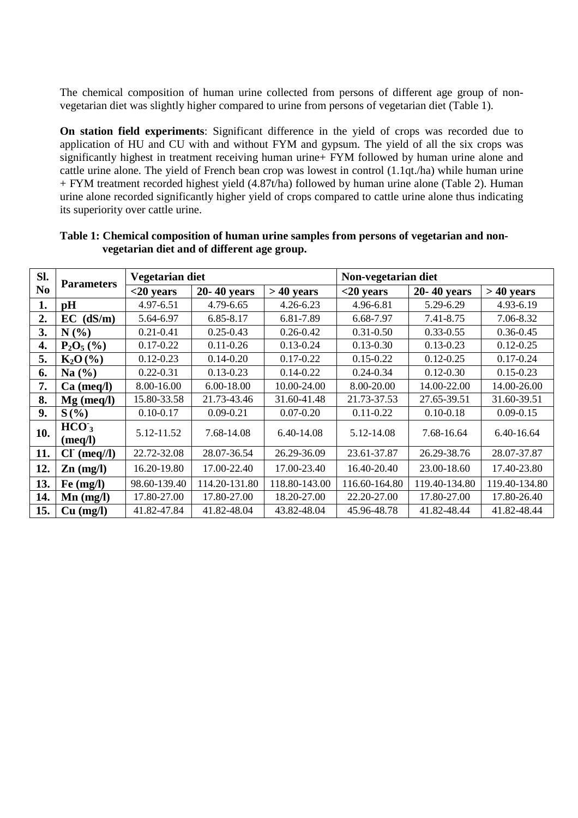The chemical composition of human urine collected from persons of different age group of nonvegetarian diet was slightly higher compared to urine from persons of vegetarian diet (Table 1).

**On station field experiments**: Significant difference in the yield of crops was recorded due to application of HU and CU with and without FYM and gypsum. The yield of all the six crops was significantly highest in treatment receiving human urine+ FYM followed by human urine alone and cattle urine alone. The yield of French bean crop was lowest in control (1.1qt./ha) while human urine + FYM treatment recorded highest yield (4.87t/ha) followed by human urine alone (Table 2). Human urine alone recorded significantly higher yield of crops compared to cattle urine alone thus indicating its superiority over cattle urine.

| SI.            | <b>Parameters</b>                   | Vegetarian diet |               |               | Non-vegetarian diet            |                 |               |  |  |
|----------------|-------------------------------------|-----------------|---------------|---------------|--------------------------------|-----------------|---------------|--|--|
| N <sub>0</sub> |                                     | $<$ 20 years    | 20-40 years   | $>40$ years   | $<$ 20 years                   | $20 - 40$ years | $>40$ years   |  |  |
| 1.             | pH                                  | 4.97-6.51       | 4.79-6.65     | $4.26 - 6.23$ | 4.96-6.81                      | 5.29-6.29       | 4.93-6.19     |  |  |
| 2.             | $EC$ (dS/m)                         | 5.64-6.97       | 6.85-8.17     | 6.81-7.89     | 6.68-7.97                      | 7.41-8.75       | 7.06-8.32     |  |  |
| 3.             | N(%)                                | $0.21 - 0.41$   | $0.25 - 0.43$ | $0.26 - 0.42$ | $0.31 - 0.50$                  | $0.33 - 0.55$   | $0.36 - 0.45$ |  |  |
| 4.             | $P_2O_5(%)$                         | $0.17 - 0.22$   | $0.11 - 0.26$ | $0.13 - 0.24$ | $0.13 - 0.30$                  | $0.13 - 0.23$   | $0.12 - 0.25$ |  |  |
| 5.             | $K_2O(%)$                           | $0.12 - 0.23$   | $0.14 - 0.20$ | $0.17 - 0.22$ | $0.15 - 0.22$                  | $0.12 - 0.25$   | $0.17 - 0.24$ |  |  |
| 6.             | $0.22 - 0.31$<br>Na $(\% )$         |                 | $0.13 - 0.23$ | $0.14 - 0.22$ | $0.24 - 0.34$                  | $0.12 - 0.30$   | $0.15 - 0.23$ |  |  |
| 7.             | $Ca$ (meq/l)                        | 8.00-16.00      | 6.00-18.00    | 10.00-24.00   | 8.00-20.00                     | 14.00-22.00     | 14.00-26.00   |  |  |
| 8.             | $Mg$ (meq/l)                        | 15.80-33.58     | 21.73-43.46   | 31.60-41.48   | 21.73-37.53<br>27.65-39.51     |                 | 31.60-39.51   |  |  |
| 9.             | $S(\%)$                             | $0.10 - 0.17$   | $0.09 - 0.21$ | $0.07 - 0.20$ | $0.11 - 0.22$<br>$0.10 - 0.18$ |                 | $0.09 - 0.15$ |  |  |
| 10.            | HCO <sub>3</sub><br>(meq/l)         | 5.12-11.52      | 7.68-14.08    | 6.40-14.08    | 5.12-14.08                     | 7.68-16.64      | 6.40-16.64    |  |  |
| 11.            | $CIc$ (meq//l)                      | 22.72-32.08     | 28.07-36.54   | 26.29-36.09   | 23.61-37.87                    | 26.29-38.76     | 28.07-37.87   |  |  |
| 12.            | 16.20-19.80<br>$\mathbf{Zn}$ (mg/l) |                 | 17.00-22.40   | 17.00-23.40   | 16.40-20.40                    | 23.00-18.60     | 17.40-23.80   |  |  |
| 13.            | Fe $(mg/l)$                         | 98.60-139.40    | 114.20-131.80 | 118.80-143.00 | 116.60-164.80                  | 119.40-134.80   | 119.40-134.80 |  |  |
| 14.            | $\mathbf{M}\mathbf{n}$ (mg/l)       | 17.80-27.00     | 17.80-27.00   | 18.20-27.00   | 22.20-27.00                    | 17.80-27.00     | 17.80-26.40   |  |  |
| 15.            | Cu (mg/l)                           | 41.82-47.84     | 41.82-48.04   | 43.82-48.04   | 45.96-48.78                    | 41.82-48.44     | 41.82-48.44   |  |  |

## **Table 1: Chemical composition of human urine samples from persons of vegetarian and nonvegetarian diet and of different age group.**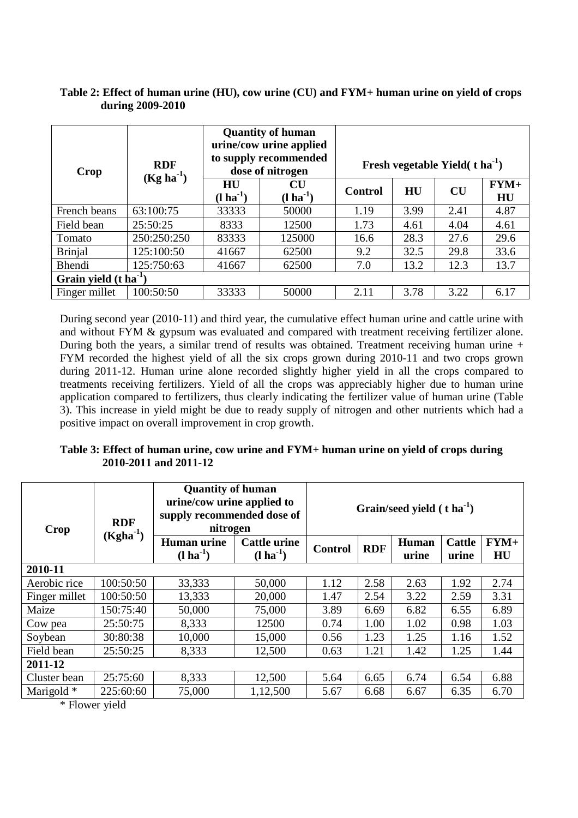| Crop                              | <b>RDF</b><br>$(Kg ha-1)$ |                        | <b>Quantity of human</b><br>urine/cow urine applied<br>to supply recommended<br>dose of nitrogen | Fresh vegetable Yield $(t)$ ha <sup>-1</sup> ) |      |           |              |  |  |
|-----------------------------------|---------------------------|------------------------|--------------------------------------------------------------------------------------------------|------------------------------------------------|------|-----------|--------------|--|--|
|                                   |                           | HU<br>$(l \, ha^{-1})$ | CU<br>$(l \, ha^{-1})$                                                                           | <b>Control</b>                                 | HU   | <b>CU</b> | $FYM+$<br>HU |  |  |
| French beans                      | 63:100:75                 | 33333                  | 50000                                                                                            | 1.19                                           | 3.99 | 2.41      | 4.87         |  |  |
| Field bean                        | 25:50:25                  | 8333                   | 12500                                                                                            | 1.73                                           | 4.61 | 4.04      | 4.61         |  |  |
| Tomato                            | 250:250:250               | 83333                  | 125000                                                                                           | 16.6                                           | 28.3 | 27.6      | 29.6         |  |  |
| <b>Brinjal</b>                    | 125:100:50                | 41667                  | 62500                                                                                            | 9.2                                            | 32.5 | 29.8      | 33.6         |  |  |
| Bhendi                            | 125:750:63                | 62500<br>41667         |                                                                                                  | 7.0                                            | 13.2 | 12.3      | 13.7         |  |  |
| Grain yield $(t \text{ ha}^{-1})$ |                           |                        |                                                                                                  |                                                |      |           |              |  |  |
| Finger millet                     | 100:50:50                 | 33333                  | 50000                                                                                            | 2.11                                           | 3.78 | 3.22      | 6.17         |  |  |

### **Table 2: Effect of human urine (HU), cow urine (CU) and FYM+ human urine on yield of crops during 2009-2010**

During second year (2010-11) and third year, the cumulative effect human urine and cattle urine with and without FYM & gypsum was evaluated and compared with treatment receiving fertilizer alone. During both the years, a similar trend of results was obtained. Treatment receiving human urine + FYM recorded the highest yield of all the six crops grown during 2010-11 and two crops grown during 2011-12. Human urine alone recorded slightly higher yield in all the crops compared to treatments receiving fertilizers. Yield of all the crops was appreciably higher due to human urine application compared to fertilizers, thus clearly indicating the fertilizer value of human urine (Table 3). This increase in yield might be due to ready supply of nitrogen and other nutrients which had a positive impact on overall improvement in crop growth.

# **Table 3: Effect of human urine, cow urine and FYM+ human urine on yield of crops during 2010-2011 and 2011-12**

| Crop          | <b>RDF</b><br>$(Kgha^{-1})$ | <b>Quantity of human</b><br>urine/cow urine applied to<br>supply recommended dose of<br>nitrogen |                                              | Grain/seed yield $(t \text{ ha}^{-1})$ |            |                       |                        |              |  |
|---------------|-----------------------------|--------------------------------------------------------------------------------------------------|----------------------------------------------|----------------------------------------|------------|-----------------------|------------------------|--------------|--|
|               |                             | <b>Human</b> urine<br>$(l \text{ ha}^{-1})$                                                      | <b>Cattle urine</b><br>$(l \text{ ha}^{-1})$ |                                        | <b>RDF</b> | <b>Human</b><br>urine | <b>Cattle</b><br>urine | $FYM+$<br>HU |  |
| 2010-11       |                             |                                                                                                  |                                              |                                        |            |                       |                        |              |  |
| Aerobic rice  | 100:50:50                   | 33,333                                                                                           | 50,000                                       | 1.12                                   | 2.58       | 2.63                  | 1.92                   | 2.74         |  |
| Finger millet | 100:50:50                   | 13,333                                                                                           | 20,000                                       | 1.47                                   | 2.54       | 3.22                  | 2.59                   | 3.31         |  |
| Maize         | 150:75:40                   | 50,000                                                                                           | 75,000                                       | 3.89                                   | 6.69       | 6.82                  | 6.55                   | 6.89         |  |
| Cow pea       | 25:50:75                    | 8,333                                                                                            | 12500                                        | 0.74                                   | 1.00       | 1.02                  | 0.98                   | 1.03         |  |
| Soybean       | 30:80:38                    | 10,000                                                                                           | 15,000                                       | 0.56                                   | 1.23       | 1.25                  | 1.16                   | 1.52         |  |
| Field bean    | 25:50:25                    | 8,333                                                                                            | 12,500                                       | 0.63                                   | 1.21       | 1.42                  | 1.25                   | 1.44         |  |
| 2011-12       |                             |                                                                                                  |                                              |                                        |            |                       |                        |              |  |
| Cluster bean  | 25:75:60                    | 8,333                                                                                            | 12,500                                       | 5.64                                   | 6.65       | 6.74                  | 6.54                   | 6.88         |  |
| Marigold *    | 225:60:60                   | 75,000                                                                                           | 1,12,500                                     | 5.67                                   | 6.68       | 6.67                  | 6.35                   | 6.70         |  |

\* Flower yield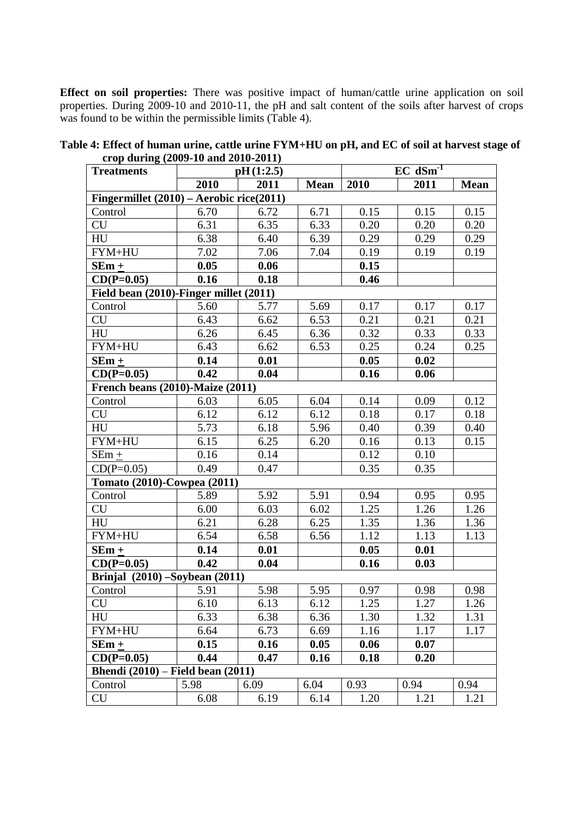**Effect on soil properties:** There was positive impact of human/cattle urine application on soil properties. During 2009-10 and 2010-11, the pH and salt content of the soils after harvest of crops was found to be within the permissible limits (Table 4).

| $\alpha$ op during (2007-10 and 2010-2011)<br><b>Treatments</b> |      | pH(1:2.5) |      |      | $EC$ dSm <sup>-1</sup> |             |
|-----------------------------------------------------------------|------|-----------|------|------|------------------------|-------------|
|                                                                 | 2010 | 2011      | Mean | 2010 | 2011                   | <b>Mean</b> |
| Fingermillet $(2010)$ – Aerobic rice(2011)                      |      |           |      |      |                        |             |
| Control                                                         | 6.70 | 6.72      | 6.71 | 0.15 | 0.15                   | 0.15        |
| CU                                                              | 6.31 | 6.35      | 6.33 | 0.20 | 0.20                   | 0.20        |
| HU                                                              | 6.38 | 6.40      | 6.39 | 0.29 | 0.29                   | 0.29        |
| FYM+HU                                                          | 7.02 | 7.06      | 7.04 | 0.19 | 0.19                   | 0.19        |
| $SEm +$                                                         | 0.05 | 0.06      |      | 0.15 |                        |             |
| $CD(P=0.05)$                                                    | 0.16 | 0.18      |      | 0.46 |                        |             |
| Field bean (2010)-Finger millet (2011)                          |      |           |      |      |                        |             |
| Control                                                         | 5.60 | 5.77      | 5.69 | 0.17 | 0.17                   | 0.17        |
| <b>CU</b>                                                       | 6.43 | 6.62      | 6.53 | 0.21 | 0.21                   | 0.21        |
| HU                                                              | 6.26 | 6.45      | 6.36 | 0.32 | 0.33                   | 0.33        |
| FYM+HU                                                          | 6.43 | 6.62      | 6.53 | 0.25 | 0.24                   | 0.25        |
| $SEm +$                                                         | 0.14 | 0.01      |      | 0.05 | 0.02                   |             |
| $CD(P=0.05)$                                                    | 0.42 | 0.04      |      | 0.16 | 0.06                   |             |
| French beans (2010)-Maize (2011)                                |      |           |      |      |                        |             |
| Control                                                         | 6.03 | 6.05      | 6.04 | 0.14 | 0.09                   | 0.12        |
| CU                                                              | 6.12 | 6.12      | 6.12 | 0.18 | 0.17                   | 0.18        |
| HU                                                              | 5.73 | 6.18      | 5.96 | 0.40 | 0.39                   | 0.40        |
| FYM+HU                                                          | 6.15 | 6.25      | 6.20 | 0.16 | 0.13                   | 0.15        |
| $SEm +$                                                         | 0.16 | 0.14      |      | 0.12 | 0.10                   |             |
| $CD(P=0.05)$                                                    | 0.49 | 0.47      |      | 0.35 | 0.35                   |             |
| Tomato (2010)-Cowpea (2011)                                     |      |           |      |      |                        |             |
| Control                                                         | 5.89 | 5.92      | 5.91 | 0.94 | 0.95                   | 0.95        |
| CU                                                              | 6.00 | 6.03      | 6.02 | 1.25 | 1.26                   | 1.26        |
| HU                                                              | 6.21 | 6.28      | 6.25 | 1.35 | 1.36                   | 1.36        |
| FYM+HU                                                          | 6.54 | 6.58      | 6.56 | 1.12 | 1.13                   | 1.13        |
| $SEm +$                                                         | 0.14 | 0.01      |      | 0.05 | 0.01                   |             |
| $CD(P=0.05)$                                                    | 0.42 | 0.04      |      | 0.16 | 0.03                   |             |
| Brinjal $(2010)$ -Soybean $(2011)$                              |      |           |      |      |                        |             |
| Control                                                         | 5.91 | 5.98      | 5.95 | 0.97 | 0.98                   | 0.98        |
| <b>CU</b>                                                       | 6.10 | 6.13      | 6.12 | 1.25 | 1.27                   | 1.26        |
| HU                                                              | 6.33 | 6.38      | 6.36 | 1.30 | 1.32                   | 1.31        |
| FYM+HU                                                          | 6.64 | 6.73      | 6.69 | 1.16 | 1.17                   | 1.17        |
| $SEm +$                                                         | 0.15 | 0.16      | 0.05 | 0.06 | 0.07                   |             |
| $CD(P=0.05)$                                                    | 0.44 | 0.47      | 0.16 | 0.18 | 0.20                   |             |
| <b>Bhendi</b> (2010) – Field bean (2011)                        |      |           |      |      |                        |             |
| Control                                                         | 5.98 | 6.09      | 6.04 | 0.93 | 0.94                   | 0.94        |
| CU                                                              | 6.08 | 6.19      | 6.14 | 1.20 | 1.21                   | 1.21        |

**Table 4: Effect of human urine, cattle urine FYM+HU on pH, and EC of soil at harvest stage of crop during (2009-10 and 2010-2011)**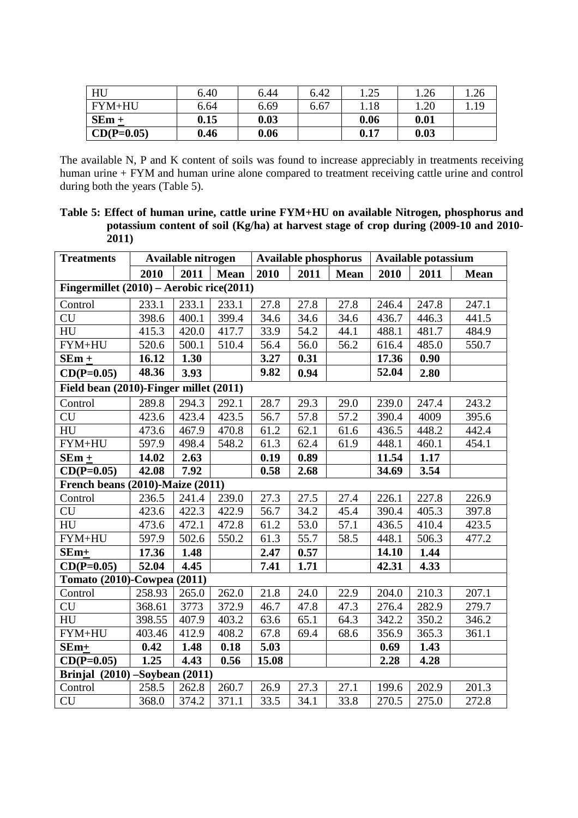| HU           | 6.40 | 6.44 | 6.42 | .25  | .26  | $\mathcal{D}$<br>1.ZU |
|--------------|------|------|------|------|------|-----------------------|
| $FYM+HU$     | 6.64 | 6.69 | 6.67 | .18  | 1.20 |                       |
| $SEm +$      | 0.15 | 0.03 |      | 0.06 | 0.01 |                       |
| $CD(P=0.05)$ | 0.46 | 0.06 |      | 0.17 | 0.03 |                       |

The available N, P and K content of soils was found to increase appreciably in treatments receiving human urine + FYM and human urine alone compared to treatment receiving cattle urine and control during both the years (Table 5).

**Table 5: Effect of human urine, cattle urine FYM+HU on available Nitrogen, phosphorus and potassium content of soil (Kg/ha) at harvest stage of crop during (2009-10 and 2010- 2011)**

| <b>Treatments</b>                          |        | Available nitrogen |       |       |      | <b>Available phosphorus</b> | Available potassium |       |             |  |
|--------------------------------------------|--------|--------------------|-------|-------|------|-----------------------------|---------------------|-------|-------------|--|
|                                            | 2010   | 2011               | Mean  | 2010  | 2011 | <b>Mean</b>                 | 2010                | 2011  | <b>Mean</b> |  |
| Fingermillet $(2010)$ – Aerobic rice(2011) |        |                    |       |       |      |                             |                     |       |             |  |
| Control                                    | 233.1  | 233.1              | 233.1 | 27.8  | 27.8 | 27.8                        | 246.4               | 247.8 | 247.1       |  |
| <b>CU</b>                                  | 398.6  | 400.1              | 399.4 | 34.6  | 34.6 | 34.6                        | 436.7               | 446.3 | 441.5       |  |
| HU                                         | 415.3  | 420.0              | 417.7 | 33.9  | 54.2 | 44.1                        | 488.1               | 481.7 | 484.9       |  |
| FYM+HU                                     | 520.6  | 500.1              | 510.4 | 56.4  | 56.0 | 56.2                        | 616.4               | 485.0 | 550.7       |  |
| $SEm +$                                    | 16.12  | 1.30               |       | 3.27  | 0.31 |                             | 17.36               | 0.90  |             |  |
| $CD(P=0.05)$                               | 48.36  | 3.93               |       | 9.82  | 0.94 |                             | 52.04               | 2.80  |             |  |
| Field bean (2010)-Finger millet (2011)     |        |                    |       |       |      |                             |                     |       |             |  |
| Control                                    | 289.8  | $294.\overline{3}$ | 292.1 | 28.7  | 29.3 | 29.0                        | 239.0               | 247.4 | 243.2       |  |
| <b>CU</b>                                  | 423.6  | 423.4              | 423.5 | 56.7  | 57.8 | 57.2                        | 390.4               | 4009  | 395.6       |  |
| HU                                         | 473.6  | 467.9              | 470.8 | 61.2  | 62.1 | 61.6                        | 436.5               | 448.2 | 442.4       |  |
| FYM+HU                                     | 597.9  | 498.4              | 548.2 | 61.3  | 62.4 | 61.9                        | 448.1               | 460.1 | 454.1       |  |
| $SEm +$                                    | 14.02  | 2.63               |       | 0.19  | 0.89 |                             | 11.54               | 1.17  |             |  |
| $CD(P=0.05)$                               | 42.08  | 7.92               |       | 0.58  | 2.68 |                             | 34.69               | 3.54  |             |  |
| <b>French beans (2010)-Maize (2011)</b>    |        |                    |       |       |      |                             |                     |       |             |  |
| Control                                    | 236.5  | 241.4              | 239.0 | 27.3  | 27.5 | 27.4                        | 226.1               | 227.8 | 226.9       |  |
| <b>CU</b>                                  | 423.6  | 422.3              | 422.9 | 56.7  | 34.2 | 45.4                        | 390.4               | 405.3 | 397.8       |  |
| HU                                         | 473.6  | 472.1              | 472.8 | 61.2  | 53.0 | 57.1                        | 436.5               | 410.4 | 423.5       |  |
| FYM+HU                                     | 597.9  | 502.6              | 550.2 | 61.3  | 55.7 | 58.5                        | 448.1               | 506.3 | 477.2       |  |
| SEm+                                       | 17.36  | 1.48               |       | 2.47  | 0.57 |                             | 14.10               | 1.44  |             |  |
| $CD(P=0.05)$                               | 52.04  | 4.45               |       | 7.41  | 1.71 |                             | 42.31               | 4.33  |             |  |
| Tomato (2010)-Cowpea (2011)                |        |                    |       |       |      |                             |                     |       |             |  |
| Control                                    | 258.93 | 265.0              | 262.0 | 21.8  | 24.0 | 22.9                        | 204.0               | 210.3 | 207.1       |  |
| <b>CU</b>                                  | 368.61 | 3773               | 372.9 | 46.7  | 47.8 | 47.3                        | 276.4               | 282.9 | 279.7       |  |
| HU                                         | 398.55 | 407.9              | 403.2 | 63.6  | 65.1 | 64.3                        | 342.2               | 350.2 | 346.2       |  |
| FYM+HU                                     | 403.46 | 412.9              | 408.2 | 67.8  | 69.4 | 68.6                        | 356.9               | 365.3 | 361.1       |  |
| SEm+                                       | 0.42   | 1.48               | 0.18  | 5.03  |      |                             | 0.69                | 1.43  |             |  |
| $CD(P=0.05)$                               | 1.25   | 4.43               | 0.56  | 15.08 |      |                             | 2.28                | 4.28  |             |  |
| Brinjal (2010) - Soybean (2011)            |        |                    |       |       |      |                             |                     |       |             |  |
| Control                                    | 258.5  | 262.8              | 260.7 | 26.9  | 27.3 | 27.1                        | 199.6               | 202.9 | 201.3       |  |
| CU                                         | 368.0  | 374.2              | 371.1 | 33.5  | 34.1 | 33.8                        | 270.5               | 275.0 | 272.8       |  |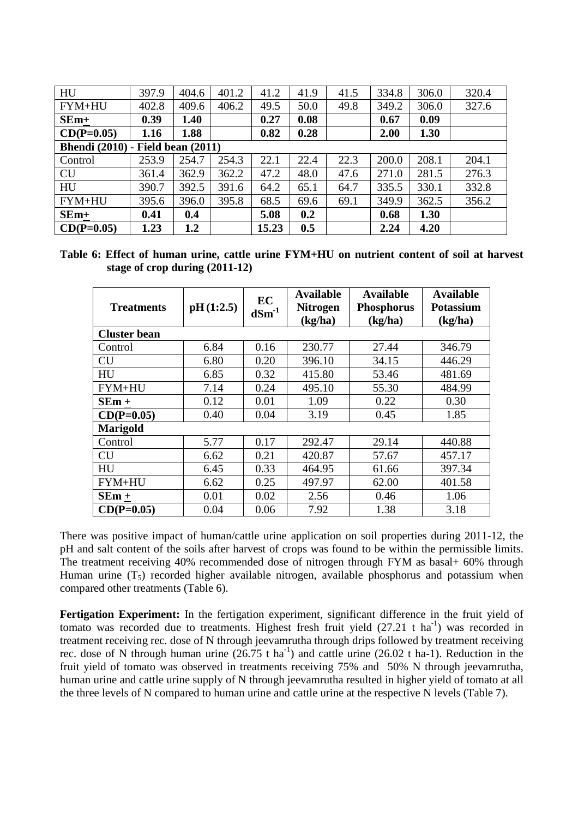| HU                                       | 397.9 | 404.6 | 401.2 | 41.2  | 41.9 | 41.5 | 334.8 | 306.0 | 320.4 |
|------------------------------------------|-------|-------|-------|-------|------|------|-------|-------|-------|
| FYM+HU                                   | 402.8 | 409.6 | 406.2 | 49.5  | 50.0 | 49.8 | 349.2 | 306.0 | 327.6 |
| $SEm+$                                   | 0.39  | 1.40  |       | 0.27  | 0.08 |      | 0.67  | 0.09  |       |
| $CD(P=0.05)$                             | 1.16  | 1.88  |       | 0.82  | 0.28 |      | 2.00  | 1.30  |       |
| <b>Bhendi</b> (2010) - Field bean (2011) |       |       |       |       |      |      |       |       |       |
| Control                                  | 253.9 | 254.7 | 254.3 | 22.1  | 22.4 | 22.3 | 200.0 | 208.1 | 204.1 |
| <b>CU</b>                                | 361.4 | 362.9 | 362.2 | 47.2  | 48.0 | 47.6 | 271.0 | 281.5 | 276.3 |
| HU                                       | 390.7 | 392.5 | 391.6 | 64.2  | 65.1 | 64.7 | 335.5 | 330.1 | 332.8 |
| FYM+HU                                   | 395.6 | 396.0 | 395.8 | 68.5  | 69.6 | 69.1 | 349.9 | 362.5 | 356.2 |
| $SEm+$                                   | 0.41  | 0.4   |       | 5.08  | 0.2  |      | 0.68  | 1.30  |       |
| $CD(P=0.05)$                             | 1.23  | 1.2   |       | 15.23 | 0.5  |      | 2.24  | 4.20  |       |

**Table 6: Effect of human urine, cattle urine FYM+HU on nutrient content of soil at harvest stage of crop during (2011-12)**

| <b>Treatments</b>   | pH(1:2.5) | EC<br>$dSm^{-1}$ | <b>Available</b><br><b>Nitrogen</b><br>(kg/ha) | <b>Available</b><br><b>Phosphorus</b><br>(kg/ha) | <b>Available</b><br><b>Potassium</b><br>(kg/ha) |
|---------------------|-----------|------------------|------------------------------------------------|--------------------------------------------------|-------------------------------------------------|
| <b>Cluster bean</b> |           |                  |                                                |                                                  |                                                 |
| Control             | 6.84      | 0.16             | 230.77                                         | 27.44                                            | 346.79                                          |
| <b>CU</b>           | 6.80      | 0.20             | 396.10                                         | 34.15                                            | 446.29                                          |
| HU                  | 6.85      | 0.32             | 415.80                                         | 53.46                                            | 481.69                                          |
| FYM+HU              | 7.14      | 0.24             | 495.10                                         | 55.30                                            | 484.99                                          |
| $SEm +$             | 0.12      | 0.01             | 1.09                                           | 0.22                                             | 0.30                                            |
| $CD(P=0.05)$        | 0.40      | 0.04             | 3.19                                           | 0.45                                             | 1.85                                            |
| <b>Marigold</b>     |           |                  |                                                |                                                  |                                                 |
| Control             | 5.77      | 0.17             | 292.47                                         | 29.14                                            | 440.88                                          |
| <b>CU</b>           | 6.62      | 0.21             | 420.87                                         | 57.67                                            | 457.17                                          |
| HU                  | 6.45      | 0.33             | 464.95                                         | 61.66                                            | 397.34                                          |
| FYM+HU              | 6.62      | 0.25             | 497.97                                         | 62.00                                            | 401.58                                          |
| $SEm +$             | 0.01      | 0.02             | 2.56                                           | 0.46                                             | 1.06                                            |
| $CD(P=0.05)$        | 0.04      | 0.06             | 7.92                                           | 1.38                                             | 3.18                                            |

There was positive impact of human/cattle urine application on soil properties during 2011-12, the pH and salt content of the soils after harvest of crops was found to be within the permissible limits. The treatment receiving 40% recommended dose of nitrogen through FYM as basal+ 60% through Human urine  $(T_5)$  recorded higher available nitrogen, available phosphorus and potassium when compared other treatments (Table 6).

**Fertigation Experiment:** In the fertigation experiment, significant difference in the fruit yield of tomato was recorded due to treatments. Highest fresh fruit yield  $(27.21 \text{ t} \text{ ha}^{-1})$  was recorded in treatment receiving rec. dose of N through jeevamrutha through drips followed by treatment receiving rec. dose of N through human urine  $(26.75 \text{ t} \text{ ha}^{-1})$  and cattle urine  $(26.02 \text{ t} \text{ ha}^{-1})$ . Reduction in the fruit yield of tomato was observed in treatments receiving 75% and 50% N through jeevamrutha, human urine and cattle urine supply of N through jeevamrutha resulted in higher yield of tomato at all the three levels of N compared to human urine and cattle urine at the respective N levels (Table 7).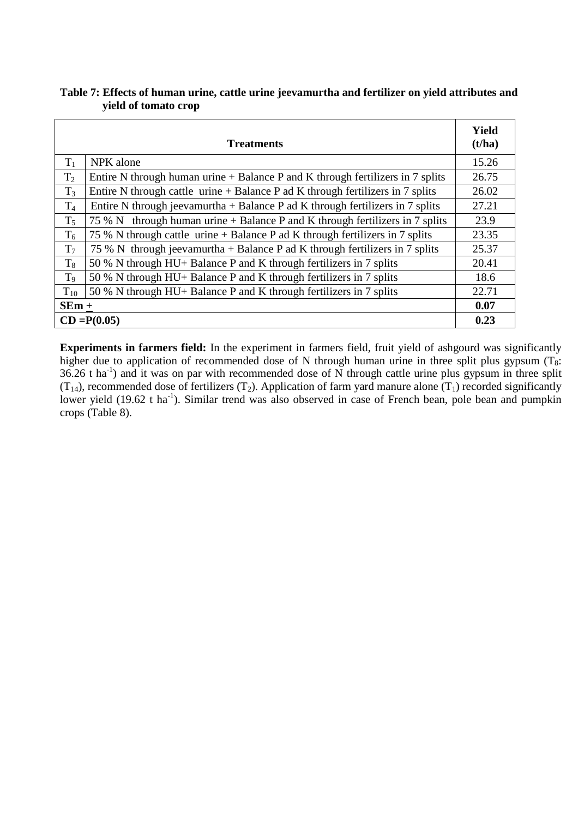# **Table 7: Effects of human urine, cattle urine jeevamurtha and fertilizer on yield attributes and yield of tomato crop**

|                | <b>Treatments</b>                                                                 | Yield<br>(t/ha) |  |  |  |  |  |  |
|----------------|-----------------------------------------------------------------------------------|-----------------|--|--|--|--|--|--|
| $T_1$          | NPK alone                                                                         | 15.26           |  |  |  |  |  |  |
| $T_2$          | Entire N through human urine + Balance P and K through fertilizers in 7 splits    | 26.75           |  |  |  |  |  |  |
| $T_3$          | Entire N through cattle urine $+$ Balance P ad K through fertilizers in 7 splits  | 26.02           |  |  |  |  |  |  |
| $T_4$          | Entire N through jeevamurtha $+$ Balance P ad K through fertilizers in 7 splits   | 27.21           |  |  |  |  |  |  |
| $T_5$          | through human urine $+$ Balance P and K through fertilizers in 7 splits<br>75 % N | 23.9            |  |  |  |  |  |  |
| $T_6$          | 75 % N through cattle urine + Balance P ad K through fertilizers in 7 splits      | 23.35           |  |  |  |  |  |  |
| T <sub>7</sub> | 75 % N through jeevamurtha + Balance P ad K through fertilizers in 7 splits       | 25.37           |  |  |  |  |  |  |
| $T_8$          | 50 % N through HU+ Balance P and K through fertilizers in 7 splits                | 20.41           |  |  |  |  |  |  |
| T <sub>9</sub> | 50 % N through HU+ Balance P and K through fertilizers in 7 splits                | 18.6            |  |  |  |  |  |  |
| $T_{10}$       | 50 % N through HU+ Balance P and K through fertilizers in 7 splits                | 22.71           |  |  |  |  |  |  |
| $SEm +$        |                                                                                   | 0.07            |  |  |  |  |  |  |
|                | $CD = P(0.05)$                                                                    |                 |  |  |  |  |  |  |

**Experiments in farmers field:** In the experiment in farmers field, fruit yield of ashgourd was significantly higher due to application of recommended dose of N through human urine in three split plus gypsum  $(T_8)$ :  $36.26$  t ha<sup>-1</sup>) and it was on par with recommended dose of N through cattle urine plus gypsum in three split  $(T_{14})$ , recommended dose of fertilizers  $(T_2)$ . Application of farm yard manure alone  $(T_1)$  recorded significantly lower yield (19.62 t ha<sup>-1</sup>). Similar trend was also observed in case of French bean, pole bean and pumpkin crops (Table 8).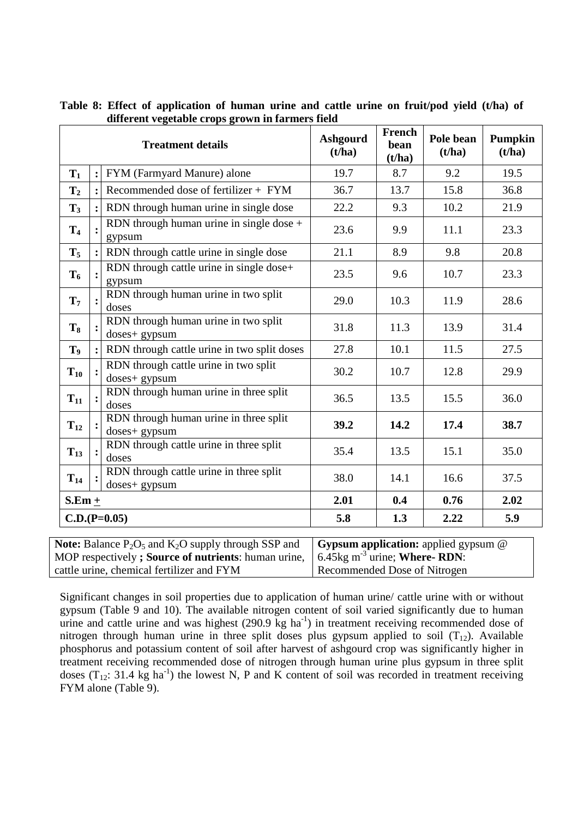|                | ------- -- - <sub>1</sub> - - - - --<br><b>Treatment details</b> | <b>Ashgourd</b><br>(t/ha) | French<br>bean<br>(t/ha) | Pole bean<br>(t/ha) | Pumpkin<br>(t/ha) |
|----------------|------------------------------------------------------------------|---------------------------|--------------------------|---------------------|-------------------|
| $T_1$          | FYM (Farmyard Manure) alone                                      | 19.7                      | 8.7                      | 9.2                 | 19.5              |
| $\mathbf{T}_2$ | Recommended dose of fertilizer $+$ FYM                           | 36.7                      | 13.7                     | 15.8                | 36.8              |
| $\mathbf{T}_3$ | RDN through human urine in single dose                           | 22.2                      | 9.3                      | 10.2                | 21.9              |
| T <sub>4</sub> | RDN through human urine in single dose $+$<br>gypsum             | 23.6                      | 9.9                      | 11.1                | 23.3              |
| $T_5$          | RDN through cattle urine in single dose                          | 21.1                      | 8.9                      | 9.8                 | 20.8              |
| $T_6$          | RDN through cattle urine in single dose+<br>gypsum               | 23.5                      | 9.6                      | 10.7                | 23.3              |
| $\mathbf{T}_7$ | RDN through human urine in two split<br>doses                    | 29.0                      | 10.3                     | 11.9                | 28.6              |
| $T_8$          | RDN through human urine in two split<br>doses+ gypsum            | 31.8                      | 11.3                     | 13.9                | 31.4              |
| T <sub>9</sub> | RDN through cattle urine in two split doses                      | 27.8                      | 10.1                     | 11.5                | 27.5              |
| $T_{10}$       | RDN through cattle urine in two split<br>doses+ gypsum           | 30.2                      | 10.7                     | 12.8                | 29.9              |
| $T_{11}$       | RDN through human urine in three split<br>doses                  | 36.5                      | 13.5                     | 15.5                | 36.0              |
| $T_{12}$       | RDN through human urine in three split<br>doses+ gypsum          | 39.2                      | 14.2                     | 17.4                | 38.7              |
| $T_{13}$       | RDN through cattle urine in three split<br>doses                 | 35.4                      | 13.5                     | 15.1                | 35.0              |
| $T_{14}$       | RDN through cattle urine in three split<br>doses+ gypsum         | 38.0                      | 14.1                     | 16.6                | 37.5              |
| $S.Em +$       |                                                                  | 2.01                      | 0.4                      | 0.76                | 2.02              |
|                | $C.D.(P=0.05)$                                                   | 5.8                       | 1.3                      | 2.22                | 5.9               |

|  |  | Table 8: Effect of application of human urine and cattle urine on fruit/pod yield (t/ha) of |  |  |  |  |  |  |
|--|--|---------------------------------------------------------------------------------------------|--|--|--|--|--|--|
|  |  | different vegetable crops grown in farmers field                                            |  |  |  |  |  |  |

| <b>Note:</b> Balance $P_2O_5$ and $K_2O$ supply through SSP and $\mid$ <b>Gypsum application:</b> applied gypsum @ |                              |
|--------------------------------------------------------------------------------------------------------------------|------------------------------|
| MOP respectively; Source of nutrients: human urine, $\int 6.45 \text{kg m}^{-3}$ urine; Where-RDN:                 |                              |
| cattle urine, chemical fertilizer and FYM                                                                          | Recommended Dose of Nitrogen |

Significant changes in soil properties due to application of human urine/ cattle urine with or without gypsum (Table 9 and 10). The available nitrogen content of soil varied significantly due to human urine and cattle urine and was highest  $(290.9 \text{ kg ha}^{-1})$  in treatment receiving recommended dose of nitrogen through human urine in three split doses plus gypsum applied to soil  $(T_{12})$ . Available phosphorus and potassium content of soil after harvest of ashgourd crop was significantly higher in treatment receiving recommended dose of nitrogen through human urine plus gypsum in three split doses  $(T_{12}: 31.4 \text{ kg ha}^{-1})$  the lowest N, P and K content of soil was recorded in treatment receiving FYM alone (Table 9).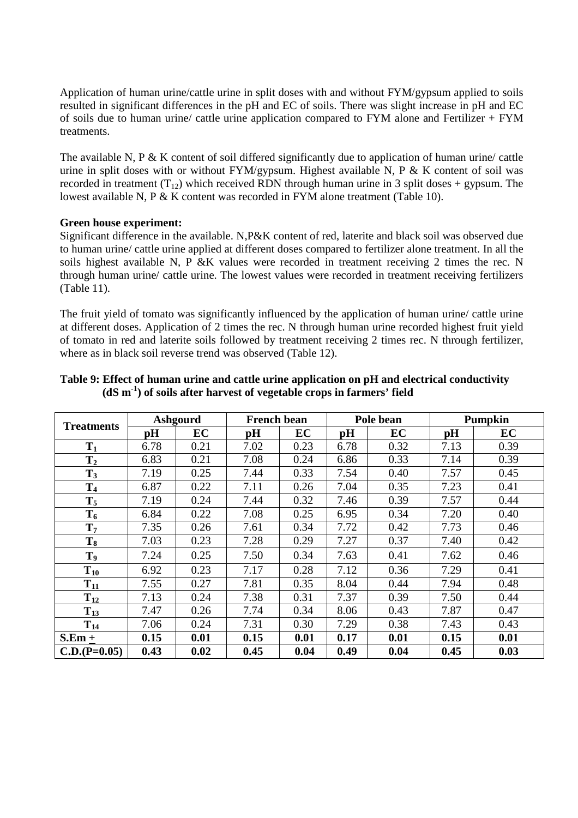Application of human urine/cattle urine in split doses with and without FYM/gypsum applied to soils resulted in significant differences in the pH and EC of soils. There was slight increase in pH and EC of soils due to human urine/ cattle urine application compared to FYM alone and Fertilizer + FYM treatments.

The available N, P & K content of soil differed significantly due to application of human urine/ cattle urine in split doses with or without  $FYM/gypsum$ . Highest available N, P & K content of soil was recorded in treatment  $(T_{12})$  which received RDN through human urine in 3 split doses + gypsum. The lowest available N, P & K content was recorded in FYM alone treatment (Table 10).

### **Green house experiment:**

Significant difference in the available. N,P&K content of red, laterite and black soil was observed due to human urine/ cattle urine applied at different doses compared to fertilizer alone treatment. In all the soils highest available N, P &K values were recorded in treatment receiving 2 times the rec. N through human urine/ cattle urine. The lowest values were recorded in treatment receiving fertilizers (Table 11).

The fruit yield of tomato was significantly influenced by the application of human urine/ cattle urine at different doses. Application of 2 times the rec. N through human urine recorded highest fruit yield of tomato in red and laterite soils followed by treatment receiving 2 times rec. N through fertilizer, where as in black soil reverse trend was observed (Table 12).

|                   | <b>Ashgourd</b> |      | <b>French bean</b> |      |      | Pole bean | <b>Pumpkin</b> |      |  |
|-------------------|-----------------|------|--------------------|------|------|-----------|----------------|------|--|
| <b>Treatments</b> | pH              | EC   | pH                 | EC   | pH   | EC        | pH             | EC   |  |
| $T_1$             | 6.78            | 0.21 | 7.02               | 0.23 | 6.78 | 0.32      | 7.13           | 0.39 |  |
| $T_{2}$           | 6.83            | 0.21 | 7.08               | 0.24 | 6.86 | 0.33      | 7.14           | 0.39 |  |
| $T_3$             | 7.19            | 0.25 | 7.44               | 0.33 | 7.54 | 0.40      | 7.57           | 0.45 |  |
| T <sub>4</sub>    | 6.87            | 0.22 | 7.11               | 0.26 | 7.04 | 0.35      | 7.23           | 0.41 |  |
| $T_5$             | 7.19            | 0.24 | 7.44               | 0.32 | 7.46 | 0.39      | 7.57           | 0.44 |  |
| $T_6$             | 6.84            | 0.22 | 7.08               | 0.25 | 6.95 | 0.34      | 7.20           | 0.40 |  |
| $T_7$             | 7.35            | 0.26 | 7.61               | 0.34 | 7.72 | 0.42      | 7.73           | 0.46 |  |
| $T_8$             | 7.03            | 0.23 | 7.28               | 0.29 | 7.27 | 0.37      | 7.40           | 0.42 |  |
| T <sub>9</sub>    | 7.24            | 0.25 | 7.50               | 0.34 | 7.63 | 0.41      | 7.62           | 0.46 |  |
| $T_{10}$          | 6.92            | 0.23 | 7.17               | 0.28 | 7.12 | 0.36      | 7.29           | 0.41 |  |
| $T_{11}$          | 7.55            | 0.27 | 7.81               | 0.35 | 8.04 | 0.44      | 7.94           | 0.48 |  |
| $T_{12}$          | 7.13            | 0.24 | 7.38               | 0.31 | 7.37 | 0.39      | 7.50           | 0.44 |  |
| $T_{13}$          | 7.47            | 0.26 | 7.74               | 0.34 | 8.06 | 0.43      | 7.87           | 0.47 |  |
| $T_{14}$          | 7.06            | 0.24 | 7.31               | 0.30 | 7.29 | 0.38      | 7.43           | 0.43 |  |
| $S.Em +$          | 0.15            | 0.01 | 0.15               | 0.01 | 0.17 | 0.01      | 0.15           | 0.01 |  |
| $C.D.(P=0.05)$    | 0.43            | 0.02 | 0.45               | 0.04 | 0.49 | 0.04      | 0.45           | 0.03 |  |

### **Table 9: Effect of human urine and cattle urine application on pH and electrical conductivity (dS m-1) of soils after harvest of vegetable crops in farmers' field**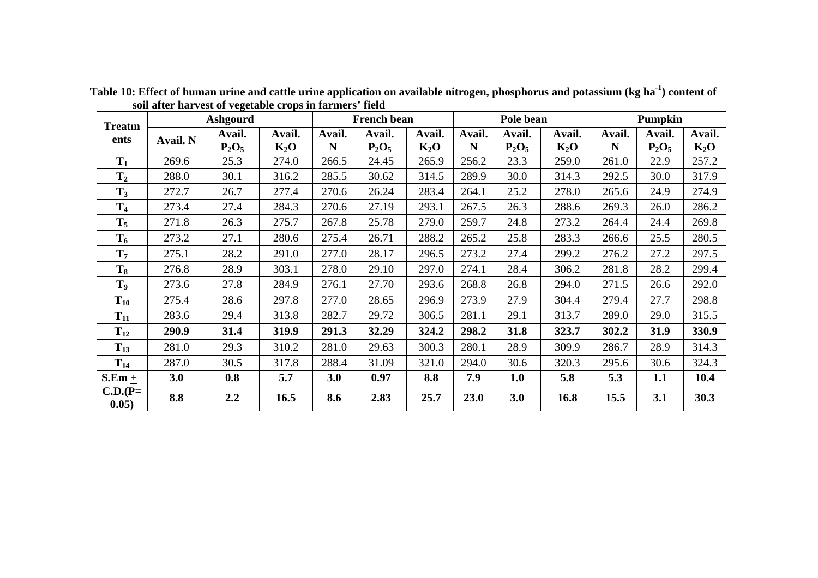| Ashgourd<br><b>Treatm</b> |                 |          | <b>French bean</b> |        |          | Pole bean |        |          | Pumpkin |        |          |        |
|---------------------------|-----------------|----------|--------------------|--------|----------|-----------|--------|----------|---------|--------|----------|--------|
| ents                      | <b>Avail. N</b> | Avail.   | Avail.             | Avail. | Avail.   | Avail.    | Avail. | Avail.   | Avail.  | Avail. | Avail.   | Avail. |
|                           |                 | $P_2O_5$ | $K_2O$             | N      | $P_2O_5$ | $K_2O$    | N      | $P_2O_5$ | $K_2O$  | N      | $P_2O_5$ | $K_2O$ |
| $T_1$                     | 269.6           | 25.3     | 274.0              | 266.5  | 24.45    | 265.9     | 256.2  | 23.3     | 259.0   | 261.0  | 22.9     | 257.2  |
| $T_2$                     | 288.0           | 30.1     | 316.2              | 285.5  | 30.62    | 314.5     | 289.9  | 30.0     | 314.3   | 292.5  | 30.0     | 317.9  |
| $T_3$                     | 272.7           | 26.7     | 277.4              | 270.6  | 26.24    | 283.4     | 264.1  | 25.2     | 278.0   | 265.6  | 24.9     | 274.9  |
| T <sub>4</sub>            | 273.4           | 27.4     | 284.3              | 270.6  | 27.19    | 293.1     | 267.5  | 26.3     | 288.6   | 269.3  | 26.0     | 286.2  |
| $T_5$                     | 271.8           | 26.3     | 275.7              | 267.8  | 25.78    | 279.0     | 259.7  | 24.8     | 273.2   | 264.4  | 24.4     | 269.8  |
| $T_6$                     | 273.2           | 27.1     | 280.6              | 275.4  | 26.71    | 288.2     | 265.2  | 25.8     | 283.3   | 266.6  | 25.5     | 280.5  |
| $T_7$                     | 275.1           | 28.2     | 291.0              | 277.0  | 28.17    | 296.5     | 273.2  | 27.4     | 299.2   | 276.2  | 27.2     | 297.5  |
| $T_8$                     | 276.8           | 28.9     | 303.1              | 278.0  | 29.10    | 297.0     | 274.1  | 28.4     | 306.2   | 281.8  | 28.2     | 299.4  |
| T <sub>9</sub>            | 273.6           | 27.8     | 284.9              | 276.1  | 27.70    | 293.6     | 268.8  | 26.8     | 294.0   | 271.5  | 26.6     | 292.0  |
| $T_{10}$                  | 275.4           | 28.6     | 297.8              | 277.0  | 28.65    | 296.9     | 273.9  | 27.9     | 304.4   | 279.4  | 27.7     | 298.8  |
| $T_{11}$                  | 283.6           | 29.4     | 313.8              | 282.7  | 29.72    | 306.5     | 281.1  | 29.1     | 313.7   | 289.0  | 29.0     | 315.5  |
| $T_{12}$                  | 290.9           | 31.4     | 319.9              | 291.3  | 32.29    | 324.2     | 298.2  | 31.8     | 323.7   | 302.2  | 31.9     | 330.9  |
| $T_{13}$                  | 281.0           | 29.3     | 310.2              | 281.0  | 29.63    | 300.3     | 280.1  | 28.9     | 309.9   | 286.7  | 28.9     | 314.3  |
| $T_{14}$                  | 287.0           | 30.5     | 317.8              | 288.4  | 31.09    | 321.0     | 294.0  | 30.6     | 320.3   | 295.6  | 30.6     | 324.3  |
| $S.Em +$                  | 3.0             | 0.8      | 5.7                | 3.0    | 0.97     | 8.8       | 7.9    | 1.0      | 5.8     | 5.3    | 1.1      | 10.4   |
| $C.D.(P=$<br>0.05)        | 8.8             | 2.2      | 16.5               | 8.6    | 2.83     | 25.7      | 23.0   | 3.0      | 16.8    | 15.5   | 3.1      | 30.3   |

Table 10: Effect of human urine and cattle urine application on available nitrogen, phosphorus and potassium (kg ha<sup>-1</sup>) content of soil after harvest of vegetable crops in farmers' field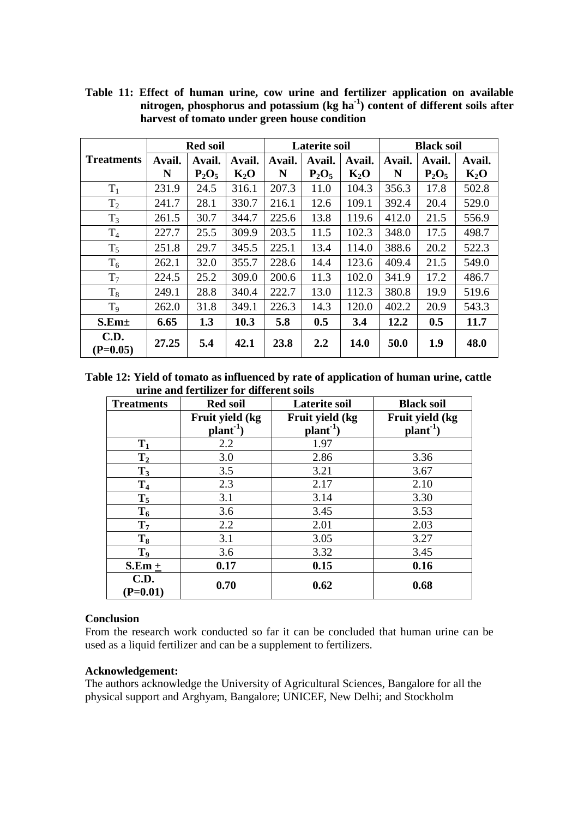|                    | <b>Red soil</b> |          |        | <b>Laterite soil</b> |          |             | <b>Black soil</b> |          |        |
|--------------------|-----------------|----------|--------|----------------------|----------|-------------|-------------------|----------|--------|
| <b>Treatments</b>  | Avail.          | Avail.   | Avail. | Avail.               | Avail.   | Avail.      | Avail.            | Avail.   | Avail. |
|                    | N               | $P_2O_5$ | $K_2O$ | N                    | $P_2O_5$ | $K_2O$      | N                 | $P_2O_5$ | $K_2O$ |
| $T_1$              | 231.9           | 24.5     | 316.1  | 207.3                | 11.0     | 104.3       | 356.3             | 17.8     | 502.8  |
| T <sub>2</sub>     | 241.7           | 28.1     | 330.7  | 216.1                | 12.6     | 109.1       | 392.4             | 20.4     | 529.0  |
| $T_3$              | 261.5           | 30.7     | 344.7  | 225.6                | 13.8     | 119.6       | 412.0             | 21.5     | 556.9  |
| T <sub>4</sub>     | 227.7           | 25.5     | 309.9  | 203.5                | 11.5     | 102.3       | 348.0             | 17.5     | 498.7  |
| $T_5$              | 251.8           | 29.7     | 345.5  | 225.1                | 13.4     | 114.0       | 388.6             | 20.2     | 522.3  |
| $T_6$              | 262.1           | 32.0     | 355.7  | 228.6                | 14.4     | 123.6       | 409.4             | 21.5     | 549.0  |
| T <sub>7</sub>     | 224.5           | 25.2     | 309.0  | 200.6                | 11.3     | 102.0       | 341.9             | 17.2     | 486.7  |
| $T_8$              | 249.1           | 28.8     | 340.4  | 222.7                | 13.0     | 112.3       | 380.8             | 19.9     | 519.6  |
| T <sub>9</sub>     | 262.0           | 31.8     | 349.1  | 226.3                | 14.3     | 120.0       | 402.2             | 20.9     | 543.3  |
| S.Em <sub>±</sub>  | 6.65            | 1.3      | 10.3   | 5.8                  | 0.5      | 3.4         | 12.2              | 0.5      | 11.7   |
| C.D.<br>$(P=0.05)$ | 27.25           | 5.4      | 42.1   | 23.8                 | 2.2      | <b>14.0</b> | 50.0              | 1.9      | 48.0   |

**Table 11: Effect of human urine, cow urine and fertilizer application on available nitrogen, phosphorus and potassium (kg ha-1) content of different soils after harvest of tomato under green house condition** 

**Table 12: Yield of tomato as influenced by rate of application of human urine, cattle urine and fertilizer for different soils** 

| <b>Treatments</b>         | <b>Red soil</b>              | <b>Laterite soil</b>              | <b>Black soil</b>               |  |  |
|---------------------------|------------------------------|-----------------------------------|---------------------------------|--|--|
|                           | Fruit yield (kg<br>$plant-1$ | Fruit yield (kg<br>$plant^{-1}$ ) | Fruit yield (kg<br>$plant^{-1}$ |  |  |
| $T_1$                     | 2.2                          | 1.97                              |                                 |  |  |
| $T_2$                     | 3.0                          | 2.86                              | 3.36                            |  |  |
| $T_3$                     | 3.5                          | 3.21                              | 3.67                            |  |  |
| T <sub>4</sub>            | 2.3                          | 2.17                              | 2.10                            |  |  |
| $T_5$                     | 3.1                          | 3.14                              | 3.30                            |  |  |
| $T_6$                     | 3.6                          | 3.45                              | 3.53                            |  |  |
| $T_7$                     | 2.2                          | 2.01                              | 2.03                            |  |  |
| $T_8$                     | 3.1                          | 3.05                              | 3.27                            |  |  |
| T <sub>9</sub>            | 3.6                          | 3.32                              | 3.45                            |  |  |
| $S.Em +$                  | 0.17                         | 0.15                              | 0.16                            |  |  |
| <b>C.D.</b><br>$(P=0.01)$ | 0.70                         | 0.62                              | 0.68                            |  |  |

### **Conclusion**

From the research work conducted so far it can be concluded that human urine can be used as a liquid fertilizer and can be a supplement to fertilizers.

### **Acknowledgement:**

The authors acknowledge the University of Agricultural Sciences, Bangalore for all the physical support and Arghyam, Bangalore; UNICEF, New Delhi; and Stockholm